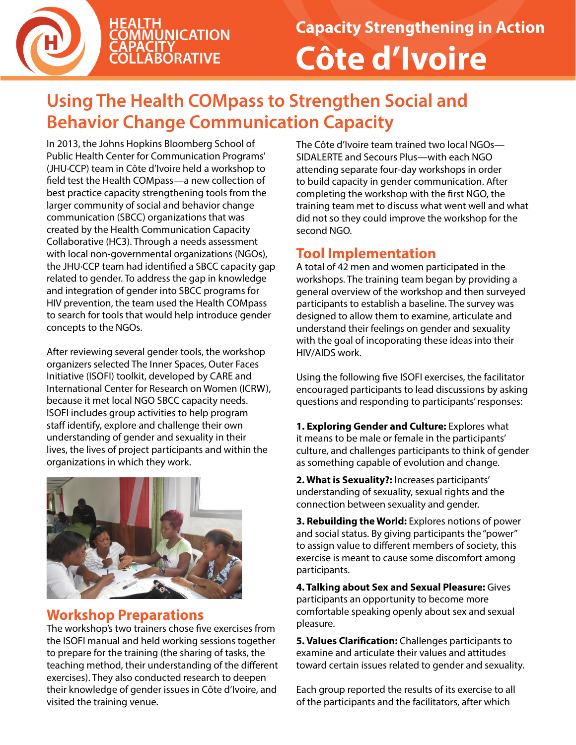

# **Using The Health COMpass to Strengthen Social and Behavior Change Communication Capacity**

In 2013, the Johns Hopkins Bloomberg School of Public Health Center for Communication Programs' (JHU·CCP) team in Côte d'Ivoire held a workshop to field test the Health COMpass—a new collection of best practice capacity strengthening tools from the larger community of social and behavior change communication (SBCC) organizations that was created by the Health Communication Capacity Collaborative (HC3). Through a needs assessment with local non-governmental organizations (NGOs), the JHU·CCP team had identified a SBCC capacity gap related to gender. To address the gap in knowledge and integration of gender into SBCC programs for HIV prevention, the team used the Health COMpass to search for tools that would help introduce gender concepts to the NGOs.

After reviewing several gender tools, the workshop organizers selected The Inner Spaces, Outer Faces Initiative (ISOFI) toolkit, developed by CARE and International Center for Research on Women (ICRW), because it met local NGO SBCC capacity needs. ISOFI includes group activities to help program staff identify, explore and challenge their own understanding of gender and sexuality in their lives, the lives of project participants and within the organizations in which they work.



#### **Workshop Preparations**

The workshop's two trainers chose five exercises from the ISOFI manual and held working sessions together to prepare for the training (the sharing of tasks, the teaching method, their understanding of the different exercises). They also conducted research to deepen their knowledge of gender issues in Côte d'Ivoire, and visited the training venue.

The Côte d'Ivoire team trained two local NGOs— SIDALERTE and Secours Plus—with each NGO attending separate four-day workshops in order to build capacity in gender communication. After completing the workshop with the first NGO, the training team met to discuss what went well and what did not so they could improve the workshop for the second NGO.

# **Tool Implementation**

A total of 42 men and women participated in the workshops. The training team began by providing a general overview of the workshop and then surveyed participants to establish a baseline. The survey was designed to allow them to examine, articulate and understand their feelings on gender and sexuality with the goal of incoporating these ideas into their HIV/AIDS work.

Using the following five ISOFI exercises, the facilitator encouraged participants to lead discussions by asking questions and responding to participants' responses:

**1. Exploring Gender and Culture:** Explores what it means to be male or female in the participants' culture, and challenges participants to think of gender as something capable of evolution and change.

**2. What is Sexuality?:** Increases participants' understanding of sexuality, sexual rights and the connection between sexuality and gender.

**3. Rebuilding the World:** Explores notions of power and social status. By giving participants the "power" to assign value to different members of society, this exercise is meant to cause some discomfort among participants.

**4. Talking about Sex and Sexual Pleasure:** Gives participants an opportunity to become more comfortable speaking openly about sex and sexual pleasure.

**5. Values Clarification:** Challenges participants to examine and articulate their values and attitudes toward certain issues related to gender and sexuality.

Each group reported the results of its exercise to all of the participants and the facilitators, after which